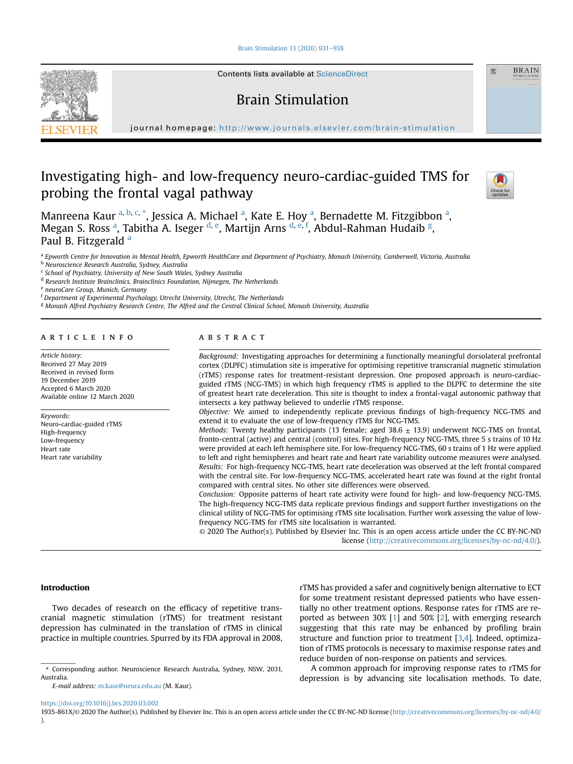### [Brain Stimulation 13 \(2020\) 931](https://doi.org/10.1016/j.brs.2020.03.002)-[938](https://doi.org/10.1016/j.brs.2020.03.002)



Contents lists available at ScienceDirect

# Brain Stimulation

journal homepage: <http://www.journals.elsevier.com/brain-stimulation>

# Investigating high- and low-frequency neuro-cardiac-guided TMS for probing the frontal vagal pathway



靈

**BRAIN** 

M[a](#page-0-0)nreena Kaur <sup>a, [b](#page-0-1), [c,](#page-0-2) [\\*](#page-0-3)</sup>, Jessica A. Michael <sup>a</sup>, Kate E. Hoy <sup>a</sup>, Bernadette M. Fitzgibbon <sup>a</sup>, Meg[a](#page-0-0)n S. Ross <sup>a</sup>, Tabitha A. Iseger <sup>[d](#page-0-4), [e](#page-0-5)</sup>, Martijn Arns <sup>[d,](#page-0-4) [e,](#page-0-5) [f](#page-0-6)</sup>, Abdul-Rahman Hudaib <sup>[g](#page-0-7)</sup>, P[a](#page-0-0)ul B. Fitzgerald a

<span id="page-0-0"></span>a Epworth Centre for Innovation in Mental Health, Epworth HealthCare and Department of Psychiatry, Monash University, Camberwell, Victoria, Australia

<span id="page-0-4"></span><sup>d</sup> Research Institute Brainclinics, Brainclinics Foundation, Nijmegen, The Netherlands

<span id="page-0-5"></span><sup>e</sup> neuroCare Group, Munich, Germany

<span id="page-0-6"></span><sup>f</sup> Department of Experimental Psychology, Utrecht University, Utrecht, The Netherlands

<span id="page-0-7"></span><sup>g</sup> Monash Alfred Psychiatry Research Centre, The Alfred and the Central Clinical School, Monash University, Australia

#### article info

Article history: Received 27 May 2019 Received in revised form 19 December 2019 Accepted 6 March 2020 Available online 12 March 2020

Keywords: Neuro-cardiac-guided rTMS High-frequency Low-frequency Heart rate Heart rate variability

# **ABSTRACT**

Background: Investigating approaches for determining a functionally meaningful dorsolateral prefrontal cortex (DLPFC) stimulation site is imperative for optimising repetitive transcranial magnetic stimulation (rTMS) response rates for treatment-resistant depression. One proposed approach is neuro-cardiacguided rTMS (NCG-TMS) in which high frequency rTMS is applied to the DLPFC to determine the site of greatest heart rate deceleration. This site is thought to index a frontal-vagal autonomic pathway that intersects a key pathway believed to underlie rTMS response.

Objective: We aimed to independently replicate previous findings of high-frequency NCG-TMS and extend it to evaluate the use of low-frequency rTMS for NCG-TMS.

*Methods:* Twenty healthy participants (13 female; aged 38.6  $\pm$  13.9) underwent NCG-TMS on frontal, fronto-central (active) and central (control) sites. For high-frequency NCG-TMS, three 5 s trains of 10 Hz were provided at each left hemisphere site. For low-frequency NCG-TMS, 60 s trains of 1 Hz were applied to left and right hemispheres and heart rate and heart rate variability outcome measures were analysed. Results: For high-frequency NCG-TMS, heart rate deceleration was observed at the left frontal compared with the central site. For low-frequency NCG-TMS, accelerated heart rate was found at the right frontal compared with central sites. No other site differences were observed.

Conclusion: Opposite patterns of heart rate activity were found for high- and low-frequency NCG-TMS. The high-frequency NCG-TMS data replicate previous findings and support further investigations on the clinical utility of NCG-TMS for optimising rTMS site localisation. Further work assessing the value of lowfrequency NCG-TMS for rTMS site localisation is warranted.

© 2020 The Author(s). Published by Elsevier Inc. This is an open access article under the CC BY-NC-ND license [\(http://creativecommons.org/licenses/by-nc-nd/4.0/](http://creativecommons.org/licenses/by-nc-nd/4.0/)).

### Introduction

Two decades of research on the efficacy of repetitive transcranial magnetic stimulation (rTMS) for treatment resistant depression has culminated in the translation of rTMS in clinical practice in multiple countries. Spurred by its FDA approval in 2008, rTMS has provided a safer and cognitively benign alternative to ECT for some treatment resistant depressed patients who have essentially no other treatment options. Response rates for rTMS are reported as between 30% [\[1\]](#page-7-0) and 50% [[2](#page-7-1)], with emerging research suggesting that this rate may be enhanced by profiling brain structure and function prior to treatment [\[3,](#page-7-2)[4](#page-7-3)]. Indeed, optimization of rTMS protocols is necessary to maximise response rates and reduce burden of non-response on patients and services.

A common approach for improving response rates to rTMS for depression is by advancing site localisation methods. To date,

<span id="page-0-1"></span>b<br>
<sup>b</sup> Neuroscience Research Australia, Sydney, Australia

<span id="page-0-2"></span><sup>c</sup> School of Psychiatry, University of New South Wales, Sydney Australia

<span id="page-0-3"></span><sup>\*</sup> Corresponding author. Neuroscience Research Australia, Sydney, NSW, 2031, Australia.

E-mail address: [m.kaur@neura.edu.au](mailto:m.kaur@neura.edu.au) (M. Kaur).

<https://doi.org/10.1016/j.brs.2020.03.002>

<sup>1935-861</sup>X/© 2020 The Author(s). Published by Elsevier Inc. This is an open access article under the CC BY-NC-ND license [\(http://creativecommons.org/licenses/by-nc-nd/4.0/](http://creativecommons.org/licenses/by-nc-nd/4.0/) ).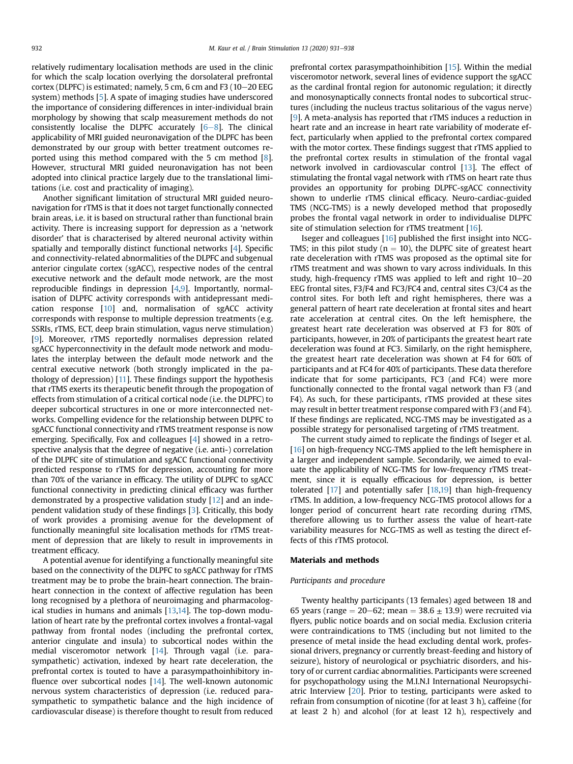relatively rudimentary localisation methods are used in the clinic for which the scalp location overlying the dorsolateral prefrontal cortex (DLPFC) is estimated; namely, 5 cm, 6 cm and F3 ( $10-20$  EEG system) methods [[5\]](#page-7-4). A spate of imaging studies have underscored the importance of considering differences in inter-individual brain morphology by showing that scalp measurement methods do not consistently localise the DLPFC accurately  $[6-8]$  $[6-8]$  $[6-8]$  $[6-8]$ . The clinical applicability of MRI guided neuronavigation of the DLPFC has been demonstrated by our group with better treatment outcomes reported using this method compared with the 5 cm method [\[8](#page-7-6)]. However, structural MRI guided neuronavigation has not been adopted into clinical practice largely due to the translational limitations (i.e. cost and practicality of imaging).

Another significant limitation of structural MRI guided neuronavigation for rTMS is that it does not target functionally connected brain areas, i.e. it is based on structural rather than functional brain activity. There is increasing support for depression as a 'network disorder' that is characterised by altered neuronal activity within spatially and temporally distinct functional networks [\[4](#page-7-3)]. Specific and connectivity-related abnormalities of the DLPFC and subgenual anterior cingulate cortex (sgACC), respective nodes of the central executive network and the default mode network, are the most reproducible findings in depression [\[4,](#page-7-3)[9\]](#page-7-7). Importantly, normalisation of DLPFC activity corresponds with antidepressant medication response [[10\]](#page-7-8) and, normalisation of sgACC activity corresponds with response to multiple depression treatments (e.g. SSRIs, rTMS, ECT, deep brain stimulation, vagus nerve stimulation) [[9](#page-7-7)]. Moreover, rTMS reportedly normalises depression related sgACC hyperconnectivity in the default mode network and modulates the interplay between the default mode network and the central executive network (both strongly implicated in the pathology of depression) [\[11\]](#page-7-9). These findings support the hypothesis that rTMS exerts its therapeutic benefit through the propogation of effects from stimulation of a critical cortical node (i.e. the DLPFC) to deeper subcortical structures in one or more interconnected networks. Compelling evidence for the relationship between DLPFC to sgACC functional connectivity and rTMS treatment response is now emerging. Specifically, Fox and colleagues [\[4\]](#page-7-3) showed in a retrospective analysis that the degree of negative (i.e. anti-) correlation of the DLPFC site of stimulation and sgACC functional connectivity predicted response to rTMS for depression, accounting for more than 70% of the variance in efficacy. The utility of DLPFC to sgACC functional connectivity in predicting clinical efficacy was further demonstrated by a prospective validation study [\[12](#page-7-10)] and an independent validation study of these findings [[3\]](#page-7-2). Critically, this body of work provides a promising avenue for the development of functionally meaningful site localisation methods for rTMS treatment of depression that are likely to result in improvements in treatment efficacy.

A potential avenue for identifying a functionally meaningful site based on the connectivity of the DLPFC to sgACC pathway for rTMS treatment may be to probe the brain-heart connection. The brainheart connection in the context of affective regulation has been long recognised by a plethora of neuroimaging and pharmacological studies in humans and animals [\[13](#page-7-11)[,14\]](#page-7-12). The top-down modulation of heart rate by the prefrontal cortex involves a frontal-vagal pathway from frontal nodes (including the prefrontal cortex, anterior cingulate and insula) to subcortical nodes within the medial visceromotor network [\[14](#page-7-12)]. Through vagal (i.e. parasympathetic) activation, indexed by heart rate deceleration, the prefrontal cortex is touted to have a parasympathoinhibitory in-fluence over subcortical nodes [[14\]](#page-7-12). The well-known autonomic nervous system characteristics of depression (i.e. reduced parasympathetic to sympathetic balance and the high incidence of cardiovascular disease) is therefore thought to result from reduced prefrontal cortex parasympathoinhibition [[15\]](#page-7-13). Within the medial visceromotor network, several lines of evidence support the sgACC as the cardinal frontal region for autonomic regulation; it directly and monosynaptically connects frontal nodes to subcortical structures (including the nucleus tractus solitarious of the vagus nerve) [[9](#page-7-7)]. A meta-analysis has reported that rTMS induces a reduction in heart rate and an increase in heart rate variability of moderate effect, particularly when applied to the prefrontal cortex compared with the motor cortex. These findings suggest that rTMS applied to the prefrontal cortex results in stimulation of the frontal vagal network involved in cardiovascular control [\[13](#page-7-11)]. The effect of stimulating the frontal vagal network with rTMS on heart rate thus provides an opportunity for probing DLPFC-sgACC connectivity shown to underlie rTMS clinical efficacy. Neuro-cardiac-guided TMS (NCG-TMS) is a newly developed method that proposedly probes the frontal vagal network in order to individualise DLPFC site of stimulation selection for rTMS treatment [[16\]](#page-7-14).

Iseger and colleagues [\[16](#page-7-14)] published the first insight into NCG-TMS; in this pilot study ( $n = 10$ ), the DLPFC site of greatest heart rate deceleration with rTMS was proposed as the optimal site for rTMS treatment and was shown to vary across individuals. In this study, high-frequency rTMS was applied to left and right  $10-20$ EEG frontal sites, F3/F4 and FC3/FC4 and, central sites C3/C4 as the control sites. For both left and right hemispheres, there was a general pattern of heart rate deceleration at frontal sites and heart rate acceleration at central cites. On the left hemisphere, the greatest heart rate deceleration was observed at F3 for 80% of participants, however, in 20% of participants the greatest heart rate deceleration was found at FC3. Similarly, on the right hemisphere, the greatest heart rate deceleration was shown at F4 for 60% of participants and at FC4 for 40% of participants. These data therefore indicate that for some participants, FC3 (and FC4) were more functionally connected to the frontal vagal network than F3 (and F4). As such, for these participants, rTMS provided at these sites may result in better treatment response compared with F3 (and F4). If these findings are replicated, NCG-TMS may be investigated as a possible strategy for personalised targeting of rTMS treatment.

The current study aimed to replicate the findings of Iseger et al. [[16\]](#page-7-14) on high-frequency NCG-TMS applied to the left hemisphere in a larger and independent sample. Secondarily, we aimed to evaluate the applicability of NCG-TMS for low-frequency rTMS treatment, since it is equally efficacious for depression, is better tolerated [[17\]](#page-7-15) and potentially safer [\[18](#page-7-16)[,19](#page-7-17)] than high-frequency rTMS. In addition, a low-frequency NCG-TMS protocol allows for a longer period of concurrent heart rate recording during rTMS, therefore allowing us to further assess the value of heart-rate variability measures for NCG-TMS as well as testing the direct effects of this rTMS protocol.

## Materials and methods

# Participants and procedure

Twenty healthy participants (13 females) aged between 18 and 65 years (range  $= 20-62$ ; mean  $= 38.6 \pm 13.9$ ) were recruited via flyers, public notice boards and on social media. Exclusion criteria were contraindications to TMS (including but not limited to the presence of metal inside the head excluding dental work, professional drivers, pregnancy or currently breast-feeding and history of seizure), history of neurological or psychiatric disorders, and history of or current cardiac abnormalities. Participants were screened for psychopathology using the M.I.N.I International Neuropsychiatric Interview [\[20\]](#page-7-18). Prior to testing, participants were asked to refrain from consumption of nicotine (for at least 3 h), caffeine (for at least 2 h) and alcohol (for at least 12 h), respectively and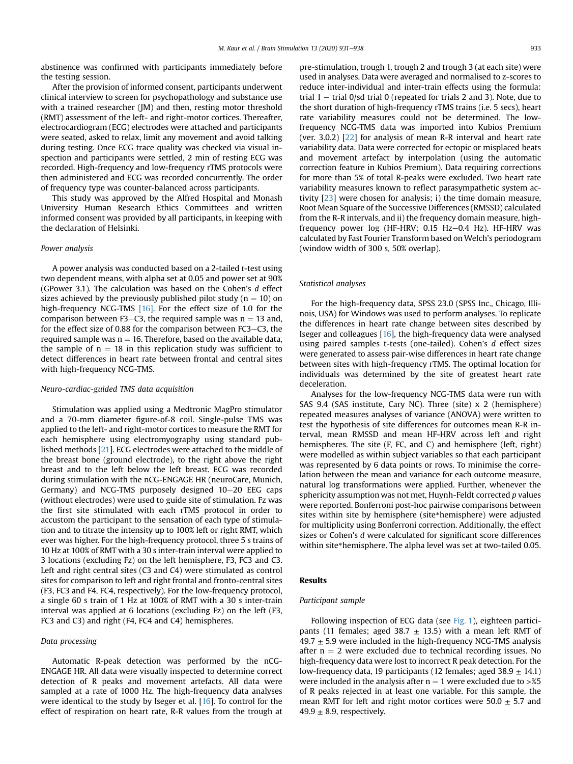abstinence was confirmed with participants immediately before the testing session.

After the provision of informed consent, participants underwent clinical interview to screen for psychopathology and substance use with a trained researcher (JM) and then, resting motor threshold (RMT) assessment of the left- and right-motor cortices. Thereafter, electrocardiogram (ECG) electrodes were attached and participants were seated, asked to relax, limit any movement and avoid talking during testing. Once ECG trace quality was checked via visual inspection and participants were settled, 2 min of resting ECG was recorded. High-frequency and low-frequency rTMS protocols were then administered and ECG was recorded concurrently. The order of frequency type was counter-balanced across participants.

This study was approved by the Alfred Hospital and Monash University Human Research Ethics Committees and written informed consent was provided by all participants, in keeping with the declaration of Helsinki.

# Power analysis

A power analysis was conducted based on a 2-tailed t-test using two dependent means, with alpha set at 0.05 and power set at 90% (GPower 3.1). The calculation was based on the Cohen's d effect sizes achieved by the previously published pilot study ( $n = 10$ ) on high-frequency NCG-TMS [\[16\]](#page-7-14). For the effect size of 1.0 for the comparison between F3–C3, the required sample was  $n = 13$  and, for the effect size of 0.88 for the comparison between FC3 $-$ C3, the required sample was  $n = 16$ . Therefore, based on the available data, the sample of  $n = 18$  in this replication study was sufficient to detect differences in heart rate between frontal and central sites with high-frequency NCG-TMS.

# Neuro-cardiac-guided TMS data acquisition

Stimulation was applied using a Medtronic MagPro stimulator and a 70-mm diameter figure-of-8 coil. Single-pulse TMS was applied to the left- and right-motor cortices to measure the RMT for each hemisphere using electromyography using standard published methods [\[21](#page-7-19)]. ECG electrodes were attached to the middle of the breast bone (ground electrode), to the right above the right breast and to the left below the left breast. ECG was recorded during stimulation with the nCG-ENGAGE HR (neuroCare, Munich, Germany) and NCG-TMS purposely designed 10-20 EEG caps (without electrodes) were used to guide site of stimulation. Fz was the first site stimulated with each rTMS protocol in order to accustom the participant to the sensation of each type of stimulation and to titrate the intensity up to 100% left or right RMT, which ever was higher. For the high-frequency protocol, three 5 s trains of 10 Hz at 100% of RMT with a 30 s inter-train interval were applied to 3 locations (excluding Fz) on the left hemisphere, F3, FC3 and C3. Left and right central sites (C3 and C4) were stimulated as control sites for comparison to left and right frontal and fronto-central sites (F3, FC3 and F4, FC4, respectively). For the low-frequency protocol, a single 60 s train of 1 Hz at 100% of RMT with a 30 s inter-train interval was applied at 6 locations (excluding Fz) on the left (F3, FC3 and C3) and right (F4, FC4 and C4) hemispheres.

# Data processing

Automatic R-peak detection was performed by the nCG-ENGAGE HR. All data were visually inspected to determine correct detection of R peaks and movement artefacts. All data were sampled at a rate of 1000 Hz. The high-frequency data analyses were identical to the study by Iseger et al. [\[16\]](#page-7-14). To control for the effect of respiration on heart rate, R-R values from the trough at pre-stimulation, trough 1, trough 2 and trough 3 (at each site) were used in analyses. Data were averaged and normalised to z-scores to reduce inter-individual and inter-train effects using the formula: trial  $1 -$  trial  $0$ /sd trial 0 (repeated for trials 2 and 3). Note, due to the short duration of high-frequency rTMS trains (i.e. 5 secs), heart rate variability measures could not be determined. The lowfrequency NCG-TMS data was imported into Kubios Premium (ver. 3.0.2) [[22](#page-7-20)] for analysis of mean R-R interval and heart rate variability data. Data were corrected for ectopic or misplaced beats and movement artefact by interpolation (using the automatic correction feature in Kubios Premium). Data requiring corrections for more than 5% of total R-peaks were excluded. Two heart rate variability measures known to reflect parasympathetic system activity [\[23\]](#page-7-21) were chosen for analysis; i) the time domain measure, Root Mean Square of the Successive Differences (RMSSD) calculated from the R-R intervals, and ii) the frequency domain measure, highfrequency power log (HF-HRV; 0.15 Hz-0.4 Hz). HF-HRV was calculated by Fast Fourier Transform based on Welch's periodogram (window width of 300 s, 50% overlap).

#### Statistical analyses

For the high-frequency data, SPSS 23.0 (SPSS Inc., Chicago, Illinois, USA) for Windows was used to perform analyses. To replicate the differences in heart rate change between sites described by Iseger and colleagues [[16\]](#page-7-14), the high-frequency data were analysed using paired samples t-tests (one-tailed). Cohen's d effect sizes were generated to assess pair-wise differences in heart rate change between sites with high-frequency rTMS. The optimal location for individuals was determined by the site of greatest heart rate deceleration.

Analyses for the low-frequency NCG-TMS data were run with SAS 9.4 (SAS institute, Cary NC). Three (site) x 2 (hemisphere) repeated measures analyses of variance (ANOVA) were written to test the hypothesis of site differences for outcomes mean R-R interval, mean RMSSD and mean HF-HRV across left and right hemispheres. The site (F, FC, and C) and hemisphere (left, right) were modelled as within subject variables so that each participant was represented by 6 data points or rows. To minimise the correlation between the mean and variance for each outcome measure, natural log transformations were applied. Further, whenever the sphericity assumption was not met, Huynh-Feldt corrected  $p$  values were reported. Bonferroni post-hoc pairwise comparisons between sites within site by hemisphere (site\*hemisphere) were adjusted for multiplicity using Bonferroni correction. Additionally, the effect sizes or Cohen's d were calculated for significant score differences within site\*hemisphere. The alpha level was set at two-tailed 0.05.

# Results

# Participant sample

Following inspection of ECG data (see [Fig. 1\)](#page-3-0), eighteen participants (11 females; aged 38.7  $\pm$  13.5) with a mean left RMT of  $49.7 \pm 5.9$  were included in the high-frequency NCG-TMS analysis after  $n = 2$  were excluded due to technical recording issues. No high-frequency data were lost to incorrect R peak detection. For the low-frequency data, 19 participants (12 females; aged  $38.9 \pm 14.1$ ) were included in the analysis after  $n = 1$  were excluded due to  $> 1/25$ of R peaks rejected in at least one variable. For this sample, the mean RMT for left and right motor cortices were  $50.0 \pm 5.7$  and  $49.9 \pm 8.9$ , respectively.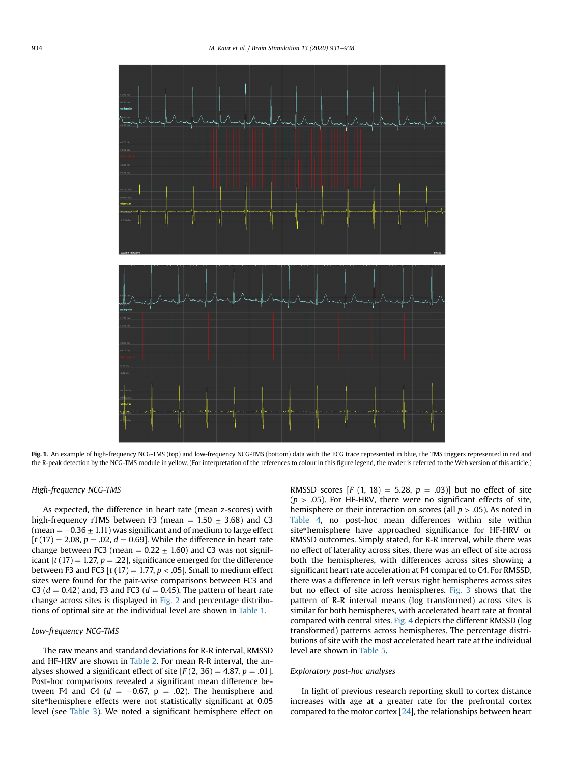<span id="page-3-0"></span>

Fig. 1. An example of high-frequency NCG-TMS (top) and low-frequency NCG-TMS (bottom) data with the ECG trace represented in blue, the TMS triggers represented in red and the R-peak detection by the NCG-TMS module in yellow. (For interpretation of the references to colour in this figure legend, the reader is referred to the Web version of this article.)

# High-frequency NCG-TMS

As expected, the difference in heart rate (mean z-scores) with high-frequency rTMS between F3 (mean  $= 1.50 \pm 3.68$ ) and C3 (mean  $= -0.36 \pm 1.11$ ) was significant and of medium to large effect  $[t(17) = 2.08, p = .02, d = 0.69]$ . While the difference in heart rate change between FC3 (mean  $= 0.22 \pm 1.60$ ) and C3 was not significant  $[t(17) = 1.27, p = .22]$ , significance emerged for the difference between F3 and FC3  $[t(17) = 1.77, p < .05]$ . Small to medium effect sizes were found for the pair-wise comparisons between FC3 and C3 ( $d = 0.42$ ) and, F3 and FC3 ( $d = 0.45$ ). The pattern of heart rate change across sites is displayed in [Fig. 2](#page-4-0) and percentage distributions of optimal site at the individual level are shown in [Table 1.](#page-4-1)

### Low-frequency NCG-TMS

The raw means and standard deviations for R-R interval, RMSSD and HF-HRV are shown in [Table 2.](#page-5-0) For mean R-R interval, the analyses showed a significant effect of site  $[F(2, 36) = 4.87, p = .01]$ . Post-hoc comparisons revealed a significant mean difference between F4 and C4  $(d = -0.67, p = .02)$ . The hemisphere and site\*hemisphere effects were not statistically significant at 0.05 level (see [Table 3](#page-5-1)). We noted a significant hemisphere effect on RMSSD scores [F (1, 18) = 5.28,  $p = .03$ ] but no effect of site  $(p > .05)$ . For HF-HRV, there were no significant effects of site, hemisphere or their interaction on scores (all  $p > .05$ ). As noted in [Table 4](#page-5-2), no post-hoc mean differences within site within site\*hemisphere have approached significance for HF-HRV or RMSSD outcomes. Simply stated, for R-R interval, while there was no effect of laterality across sites, there was an effect of site across both the hemispheres, with differences across sites showing a significant heart rate acceleration at F4 compared to C4. For RMSSD, there was a difference in left versus right hemispheres across sites but no effect of site across hemispheres. [Fig. 3](#page-5-3) shows that the pattern of R-R interval means (log transformed) across sites is similar for both hemispheres, with accelerated heart rate at frontal compared with central sites. [Fig. 4](#page-5-4) depicts the different RMSSD (log transformed) patterns across hemispheres. The percentage distributions of site with the most accelerated heart rate at the individual level are shown in [Table 5.](#page-6-0)

# Exploratory post-hoc analyses

In light of previous research reporting skull to cortex distance increases with age at a greater rate for the prefrontal cortex compared to the motor cortex  $[24]$  $[24]$  $[24]$ , the relationships between heart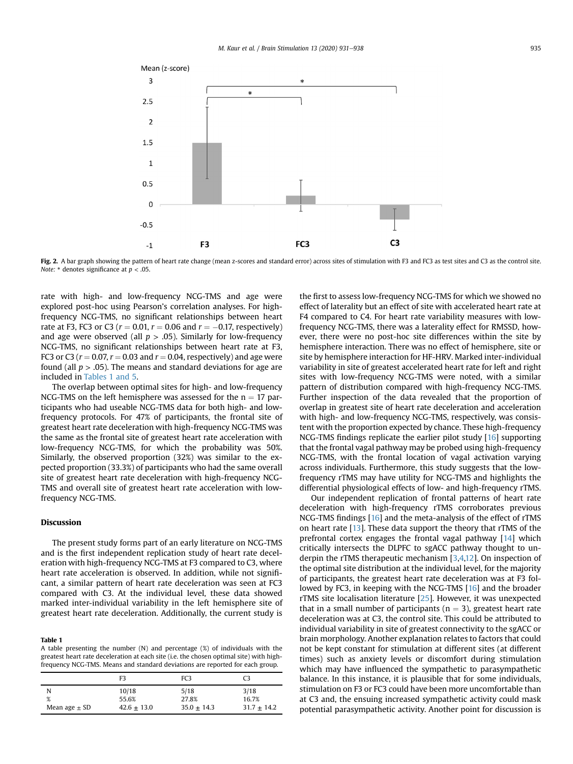<span id="page-4-0"></span>

Fig. 2. A bar graph showing the pattern of heart rate change (mean z-scores and standard error) across sites of stimulation with F3 and FC3 as test sites and C3 as the control site. Note:  $*$  denotes significance at  $p < .05$ .

rate with high- and low-frequency NCG-TMS and age were explored post-hoc using Pearson's correlation analyses. For highfrequency NCG-TMS, no significant relationships between heart rate at F3, FC3 or C3 ( $r = 0.01$ ,  $r = 0.06$  and  $r = -0.17$ , respectively) and age were observed (all  $p > .05$ ). Similarly for low-frequency NCG-TMS, no significant relationships between heart rate at F3, FC3 or C3 ( $r = 0.07$ ,  $r = 0.03$  and  $r = 0.04$ , respectively) and age were found (all  $p > .05$ ). The means and standard deviations for age are included in [Tables 1 and 5.](#page-4-1)

The overlap between optimal sites for high- and low-frequency NCG-TMS on the left hemisphere was assessed for the  $n = 17$  participants who had useable NCG-TMS data for both high- and lowfrequency protocols. For 47% of participants, the frontal site of greatest heart rate deceleration with high-frequency NCG-TMS was the same as the frontal site of greatest heart rate acceleration with low-frequency NCG-TMS, for which the probability was 50%. Similarly, the observed proportion (32%) was similar to the expected proportion (33.3%) of participants who had the same overall site of greatest heart rate deceleration with high-frequency NCG-TMS and overall site of greatest heart rate acceleration with lowfrequency NCG-TMS.

### Discussion

The present study forms part of an early literature on NCG-TMS and is the first independent replication study of heart rate deceleration with high-frequency NCG-TMS at F3 compared to C3, where heart rate acceleration is observed. In addition, while not significant, a similar pattern of heart rate deceleration was seen at FC3 compared with C3. At the individual level, these data showed marked inter-individual variability in the left hemisphere site of greatest heart rate deceleration. Additionally, the current study is

# <span id="page-4-1"></span>Table 1

A table presenting the number (N) and percentage (%) of individuals with the greatest heart rate deceleration at each site (i.e. the chosen optimal site) with highfrequency NCG-TMS. Means and standard deviations are reported for each group.

|                   | F٩            | FC3           | C3              |
|-------------------|---------------|---------------|-----------------|
| N                 | 10/18         | 5/18          | 3/18            |
| %                 | 55.6%         | 27.8%         | 16.7%           |
| Mean age $\pm$ SD | $42.6 + 13.0$ | $35.0 + 14.3$ | $31.7 \pm 14.2$ |

the first to assess low-frequency NCG-TMS for which we showed no effect of laterality but an effect of site with accelerated heart rate at F4 compared to C4. For heart rate variability measures with lowfrequency NCG-TMS, there was a laterality effect for RMSSD, however, there were no post-hoc site differences within the site by hemisphere interaction. There was no effect of hemisphere, site or site by hemisphere interaction for HF-HRV. Marked inter-individual variability in site of greatest accelerated heart rate for left and right sites with low-frequency NCG-TMS were noted, with a similar pattern of distribution compared with high-frequency NCG-TMS. Further inspection of the data revealed that the proportion of overlap in greatest site of heart rate deceleration and acceleration with high- and low-frequency NCG-TMS, respectively, was consistent with the proportion expected by chance. These high-frequency NCG-TMS findings replicate the earlier pilot study [[16\]](#page-7-14) supporting that the frontal vagal pathway may be probed using high-frequency NCG-TMS, with the frontal location of vagal activation varying across individuals. Furthermore, this study suggests that the lowfrequency rTMS may have utility for NCG-TMS and highlights the differential physiological effects of low- and high-frequency rTMS.

Our independent replication of frontal patterns of heart rate deceleration with high-frequency rTMS corroborates previous NCG-TMS findings [[16\]](#page-7-14) and the meta-analysis of the effect of rTMS on heart rate [\[13](#page-7-11)]. These data support the theory that rTMS of the prefrontal cortex engages the frontal vagal pathway [\[14](#page-7-12)] which critically intersects the DLPFC to sgACC pathway thought to underpin the rTMS therapeutic mechanism [[3,](#page-7-2)[4](#page-7-3)[,12\]](#page-7-10). On inspection of the optimal site distribution at the individual level, for the majority of participants, the greatest heart rate deceleration was at F3 followed by FC3, in keeping with the NCG-TMS [[16\]](#page-7-14) and the broader rTMS site localisation literature [\[25\]](#page-7-23). However, it was unexpected that in a small number of participants ( $n = 3$ ), greatest heart rate deceleration was at C3, the control site. This could be attributed to individual variability in site of greatest connectivity to the sgACC or brain morphology. Another explanation relates to factors that could not be kept constant for stimulation at different sites (at different times) such as anxiety levels or discomfort during stimulation which may have influenced the sympathetic to parasympathetic balance. In this instance, it is plausible that for some individuals, stimulation on F3 or FC3 could have been more uncomfortable than at C3 and, the ensuing increased sympathetic activity could mask potential parasympathetic activity. Another point for discussion is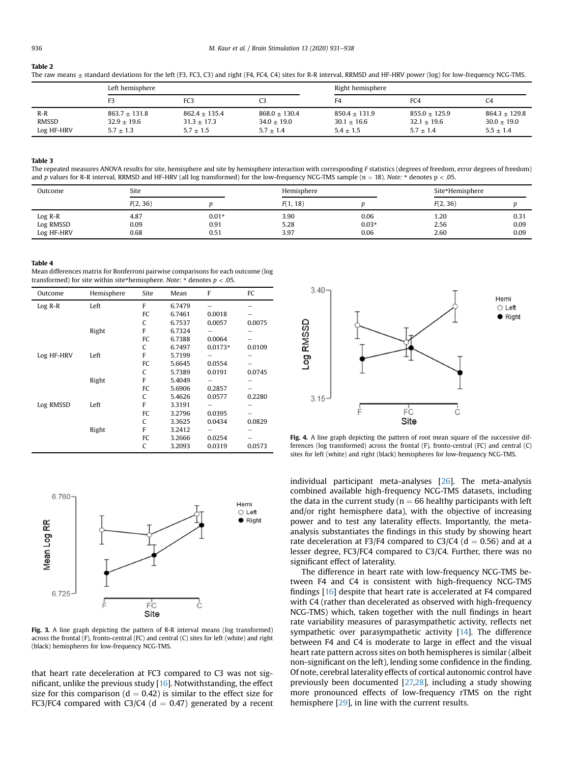<span id="page-5-0"></span>

| <b>Table 2</b>                                                                                                                                                            |
|---------------------------------------------------------------------------------------------------------------------------------------------------------------------------|
| The raw means $\pm$ standard deviations for the left (F3, FC3, C3) and right (F4, FC4, C4) sites for R-R interval, RRMSD and HF-HRV power (log) for low-frequency NCG-TMS |

|                              | Left hemisphere                                 |                                                 |                                                 | Right hemisphere                                  |                                                 |                                                 |
|------------------------------|-------------------------------------------------|-------------------------------------------------|-------------------------------------------------|---------------------------------------------------|-------------------------------------------------|-------------------------------------------------|
|                              | F3                                              | FC3                                             |                                                 | F <sub>4</sub>                                    | FC4                                             | C <sub>4</sub>                                  |
| $R-R$<br>RMSSD<br>Log HF-HRV | $863.7 + 131.8$<br>$32.9 + 19.6$<br>$5.7 + 1.3$ | $862.4 + 135.4$<br>$31.3 + 17.3$<br>$5.7 + 1.5$ | $868.0 + 130.4$<br>$34.0 + 19.0$<br>$5.7 + 1.4$ | $850.4 + 131.9$<br>$30.1 \pm 16.6$<br>$5.4 + 1.5$ | $855.0 + 125.9$<br>$32.1 + 19.6$<br>$5.7 + 1.4$ | $864.3 + 129.8$<br>$30.0 + 19.0$<br>$5.5 + 1.4$ |

## <span id="page-5-1"></span>Table 3

The repeated measures ANOVA results for site, hemisphere and site by hemisphere interaction with corresponding F statistics (degrees of freedom, error degrees of freedom) and p values for R-R interval, RRMSD and HF-HRV (all log transformed) for the low-frequency NCG-TMS sample (n = 18). Note: \* denotes p < .05.

| Outcome    | Site     |         | Hemisphere |         | Site*Hemisphere |      |
|------------|----------|---------|------------|---------|-----------------|------|
|            | F(2, 36) |         | F(1, 18)   |         | F(2, 36)        |      |
| Log R-R    | 4.87     | $0.01*$ | 3.90       | 0.06    | 1.20            | 0.31 |
| Log RMSSD  | 0.09     | 0.91    | 5.28       | $0.03*$ | 2.56            | 0.09 |
| Log HF-HRV | 0.68     | 0.51    | 3.97       | 0.06    | 2.60            | 0.09 |

#### <span id="page-5-2"></span>Table 4

Mean differences matrix for Bonferroni pairwise comparisons for each outcome (log transformed) for site within site\*hemisphere. Note: \* denotes  $p < .05$ .

| Outcome    | Hemisphere | Site | Mean   | F         | FC     |
|------------|------------|------|--------|-----------|--------|
| $Log R-R$  | Left       | F    | 6.7479 |           |        |
|            |            | FC   | 6.7461 | 0.0018    |        |
|            |            | C    | 6.7537 | 0.0057    | 0.0075 |
|            | Right      | F    | 6.7324 |           |        |
|            |            | FC   | 6.7388 | 0.0064    |        |
|            |            | C    | 6.7497 | $0.0173*$ | 0.0109 |
| Log HF-HRV | Left       | F    | 5.7199 |           |        |
|            |            | FC   | 5.6645 | 0.0554    |        |
|            |            | C    | 5.7389 | 0.0191    | 0.0745 |
|            | Right      | F    | 5.4049 |           |        |
|            |            | FC   | 5.6906 | 0.2857    |        |
|            |            | C    | 5.4626 | 0.0577    | 0.2280 |
| Log RMSSD  | Left       | F    | 3.3191 |           |        |
|            |            | FC   | 3.2796 | 0.0395    |        |
|            |            | C    | 3.3625 | 0.0434    | 0.0829 |
|            | Right      | F    | 3.2412 |           |        |
|            |            | FC   | 3.2666 | 0.0254    |        |
|            |            | C    | 3.2093 | 0.0319    | 0.0573 |

<span id="page-5-3"></span>

Fig. 3. A line graph depicting the pattern of R-R interval means (log transformed) across the frontal (F), fronto-central (FC) and central (C) sites for left (white) and right (black) hemispheres for low-frequency NCG-TMS.

that heart rate deceleration at FC3 compared to C3 was not significant, unlike the previous study [\[16](#page-7-14)]. Notwithstanding, the effect size for this comparison ( $d = 0.42$ ) is similar to the effect size for FC3/FC4 compared with C3/C4 ( $d = 0.47$ ) generated by a recent

<span id="page-5-4"></span>

Fig. 4. A line graph depicting the pattern of root mean square of the successive differences (log transformed) across the frontal (F), fronto-central (FC) and central (C) sites for left (white) and right (black) hemispheres for low-frequency NCG-TMS.

individual participant meta-analyses [[26](#page-7-24)]. The meta-analysis combined available high-frequency NCG-TMS datasets, including the data in the current study ( $n = 66$  healthy participants with left and/or right hemisphere data), with the objective of increasing power and to test any laterality effects. Importantly, the metaanalysis substantiates the findings in this study by showing heart rate deceleration at F3/F4 compared to C3/C4 ( $d = 0.56$ ) and at a lesser degree, FC3/FC4 compared to C3/C4. Further, there was no significant effect of laterality.

The difference in heart rate with low-frequency NCG-TMS between F4 and C4 is consistent with high-frequency NCG-TMS findings [[16\]](#page-7-14) despite that heart rate is accelerated at F4 compared with C4 (rather than decelerated as observed with high-frequency NCG-TMS) which, taken together with the null findings in heart rate variability measures of parasympathetic activity, reflects net sympathetic over parasympathetic activity [[14\]](#page-7-12). The difference between F4 and C4 is moderate to large in effect and the visual heart rate pattern across sites on both hemispheres is similar (albeit non-significant on the left), lending some confidence in the finding. Of note, cerebral laterality effects of cortical autonomic control have previously been documented [[27,](#page-7-25)[28\]](#page-7-26), including a study showing more pronounced effects of low-frequency rTMS on the right hemisphere [[29](#page-7-27)], in line with the current results.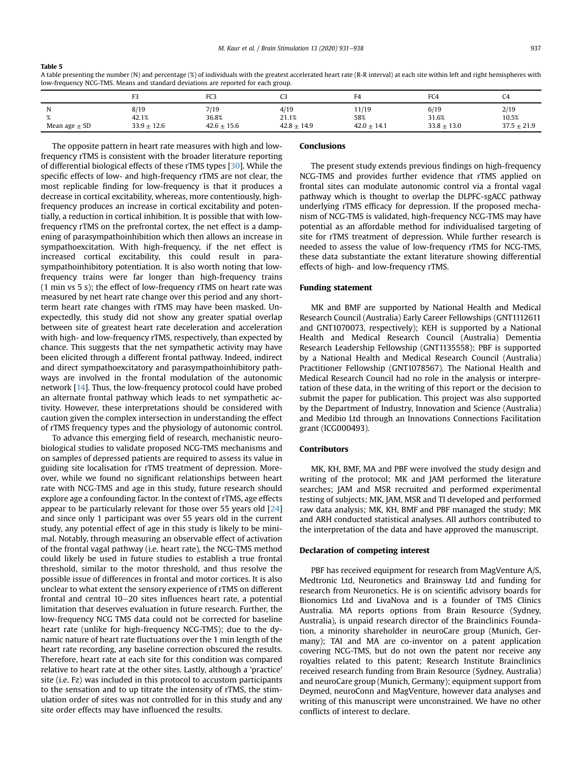<span id="page-6-0"></span>A table presenting the number (N) and percentage (%) of individuals with the greatest accelerated heart rate (R-R interval) at each site within left and right hemispheres with low-frequency NCG-TMS. Means and standard deviations are reported for each group.

|                   |                 | DC <sup>o</sup><br>نسا'ا | ີ               | FД              | FC4             | C4              |
|-------------------|-----------------|--------------------------|-----------------|-----------------|-----------------|-----------------|
|                   | 8/19<br>42.1%   | 7/19<br>36.8%            | 4/19<br>21.1%   | 11/19<br>58%    | 6/19<br>31.6%   | 2/19<br>10.5%   |
| Mean age $\pm$ SD | $33.9 \pm 12.6$ | $42.6 \pm 15.6$          | $42.8 \pm 14.9$ | $42.0 \pm 14.1$ | $33.8 \pm 13.0$ | $37.5 \pm 21.9$ |

The opposite pattern in heart rate measures with high and lowfrequency rTMS is consistent with the broader literature reporting of differential biological effects of these rTMS types [[30](#page-7-28)]. While the specific effects of low- and high-frequency rTMS are not clear, the most replicable finding for low-frequency is that it produces a decrease in cortical excitability, whereas, more contentiously, highfrequency produces an increase in cortical excitability and potentially, a reduction in cortical inhibition. It is possible that with lowfrequency rTMS on the prefrontal cortex, the net effect is a dampening of parasympathoinhibition which then allows an increase in sympathoexcitation. With high-frequency, if the net effect is increased cortical excitability, this could result in parasympathoinhibitory potentiation. It is also worth noting that lowfrequency trains were far longer than high-frequency trains (1 min vs 5 s); the effect of low-frequency rTMS on heart rate was measured by net heart rate change over this period and any shortterm heart rate changes with rTMS may have been masked. Unexpectedly, this study did not show any greater spatial overlap between site of greatest heart rate deceleration and acceleration with high- and low-frequency rTMS, respectively, than expected by chance. This suggests that the net sympathetic activity may have been elicited through a different frontal pathway. Indeed, indirect and direct sympathoexcitatory and parasympathoinhibitory pathways are involved in the frontal modulation of the autonomic network [[14\]](#page-7-12). Thus, the low-frequency protocol could have probed an alternate frontal pathway which leads to net sympathetic activity. However, these interpretations should be considered with caution given the complex intersection in understanding the effect of rTMS frequency types and the physiology of autonomic control.

To advance this emerging field of research, mechanistic neurobiological studies to validate proposed NCG-TMS mechanisms and on samples of depressed patients are required to assess its value in guiding site localisation for rTMS treatment of depression. Moreover, while we found no significant relationships between heart rate with NCG-TMS and age in this study, future research should explore age a confounding factor. In the context of rTMS, age effects appear to be particularly relevant for those over 55 years old [\[24\]](#page-7-22) and since only 1 participant was over 55 years old in the current study, any potential effect of age in this study is likely to be minimal. Notably, through measuring an observable effect of activation of the frontal vagal pathway (i.e. heart rate), the NCG-TMS method could likely be used in future studies to establish a true frontal threshold, similar to the motor threshold, and thus resolve the possible issue of differences in frontal and motor cortices. It is also unclear to what extent the sensory experience of rTMS on different frontal and central  $10-20$  sites influences heart rate, a potential limitation that deserves evaluation in future research. Further, the low-frequency NCG TMS data could not be corrected for baseline heart rate (unlike for high-frequency NCG-TMS); due to the dynamic nature of heart rate fluctuations over the 1 min length of the heart rate recording, any baseline correction obscured the results. Therefore, heart rate at each site for this condition was compared relative to heart rate at the other sites. Lastly, although a 'practice' site (i.e. Fz) was included in this protocol to accustom participants to the sensation and to up titrate the intensity of rTMS, the stimulation order of sites was not controlled for in this study and any site order effects may have influenced the results.

# Conclusions

The present study extends previous findings on high-frequency NCG-TMS and provides further evidence that rTMS applied on frontal sites can modulate autonomic control via a frontal vagal pathway which is thought to overlap the DLPFC-sgACC pathway underlying rTMS efficacy for depression. If the proposed mechanism of NCG-TMS is validated, high-frequency NCG-TMS may have potential as an affordable method for individualised targeting of site for rTMS treatment of depression. While further research is needed to assess the value of low-frequency rTMS for NCG-TMS, these data substantiate the extant literature showing differential effects of high- and low-frequency rTMS.

# Funding statement

MK and BMF are supported by National Health and Medical Research Council (Australia) Early Career Fellowships (GNT1112611 and GNT1070073, respectively); KEH is supported by a National Health and Medical Research Council (Australia) Dementia Research Leadership Fellowship (GNT1135558); PBF is supported by a National Health and Medical Research Council (Australia) Practitioner Fellowship (GNT1078567). The National Health and Medical Research Council had no role in the analysis or interpretation of these data, in the writing of this report or the decision to submit the paper for publication. This project was also supported by the Department of Industry, Innovation and Science (Australia) and Medibio Ltd through an Innovations Connections Facilitation grant (ICG000493).

# Contributors

MK, KH, BMF, MA and PBF were involved the study design and writing of the protocol; MK and JAM performed the literature searches; JAM and MSR recruited and performed experimental testing of subjects; MK, JAM, MSR and TI developed and performed raw data analysis; MK, KH, BMF and PBF managed the study; MK and ARH conducted statistical analyses. All authors contributed to the interpretation of the data and have approved the manuscript.

## Declaration of competing interest

PBF has received equipment for research from MagVenture A/S, Medtronic Ltd, Neuronetics and Brainsway Ltd and funding for research from Neuronetics. He is on scientific advisory boards for Bionomics Ltd and LivaNova and is a founder of TMS Clinics Australia. MA reports options from Brain Resource (Sydney, Australia), is unpaid research director of the Brainclinics Foundation, a minority shareholder in neuroCare group (Munich, Germany); TAI and MA are co-inventor on a patent application covering NCG-TMS, but do not own the patent nor receive any royalties related to this patent; Research Institute Brainclinics received research funding from Brain Resource (Sydney, Australia) and neuroCare group (Munich, Germany); equipment support from Deymed, neuroConn and MagVenture, however data analyses and writing of this manuscript were unconstrained. We have no other conflicts of interest to declare.